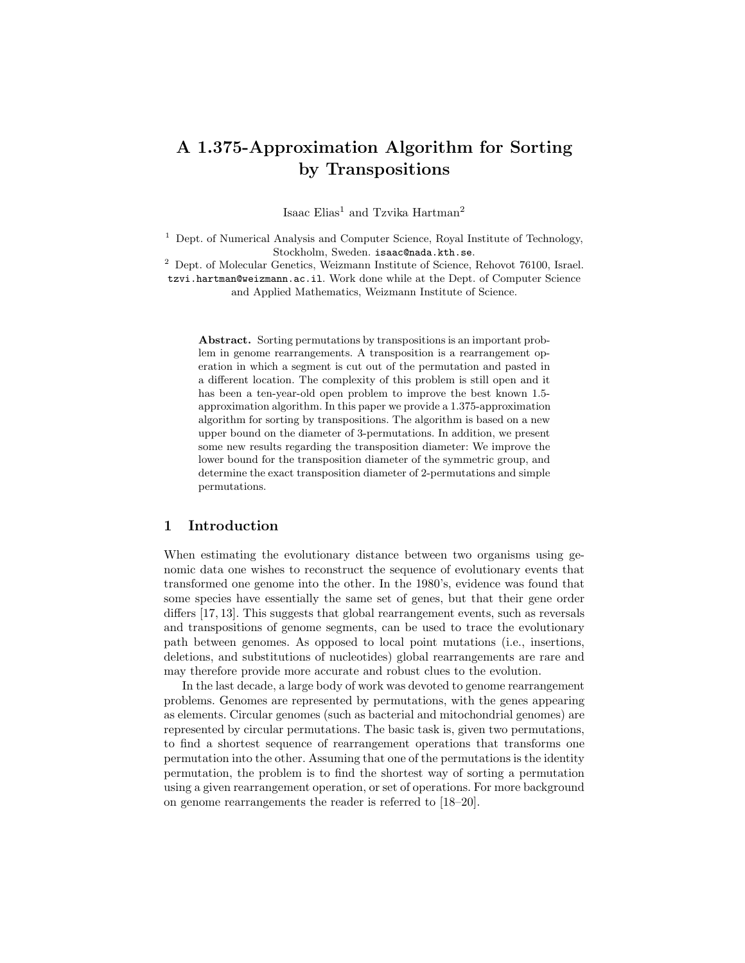# A 1.375-Approximation Algorithm for Sorting by Transpositions

Isaac Elias<sup>1</sup> and Tzvika Hartman<sup>2</sup>

<sup>1</sup> Dept. of Numerical Analysis and Computer Science, Royal Institute of Technology, Stockholm, Sweden. isaac@nada.kth.se.

<sup>2</sup> Dept. of Molecular Genetics, Weizmann Institute of Science, Rehovot 76100, Israel. tzvi.hartman@weizmann.ac.il. Work done while at the Dept. of Computer Science and Applied Mathematics, Weizmann Institute of Science.

Abstract. Sorting permutations by transpositions is an important problem in genome rearrangements. A transposition is a rearrangement operation in which a segment is cut out of the permutation and pasted in a different location. The complexity of this problem is still open and it has been a ten-year-old open problem to improve the best known 1.5 approximation algorithm. In this paper we provide a 1.375-approximation algorithm for sorting by transpositions. The algorithm is based on a new upper bound on the diameter of 3-permutations. In addition, we present some new results regarding the transposition diameter: We improve the lower bound for the transposition diameter of the symmetric group, and determine the exact transposition diameter of 2-permutations and simple permutations.

#### 1 Introduction

When estimating the evolutionary distance between two organisms using genomic data one wishes to reconstruct the sequence of evolutionary events that transformed one genome into the other. In the 1980's, evidence was found that some species have essentially the same set of genes, but that their gene order differs [17, 13]. This suggests that global rearrangement events, such as reversals and transpositions of genome segments, can be used to trace the evolutionary path between genomes. As opposed to local point mutations (i.e., insertions, deletions, and substitutions of nucleotides) global rearrangements are rare and may therefore provide more accurate and robust clues to the evolution.

In the last decade, a large body of work was devoted to genome rearrangement problems. Genomes are represented by permutations, with the genes appearing as elements. Circular genomes (such as bacterial and mitochondrial genomes) are represented by circular permutations. The basic task is, given two permutations, to find a shortest sequence of rearrangement operations that transforms one permutation into the other. Assuming that one of the permutations is the identity permutation, the problem is to find the shortest way of sorting a permutation using a given rearrangement operation, or set of operations. For more background on genome rearrangements the reader is referred to [18–20].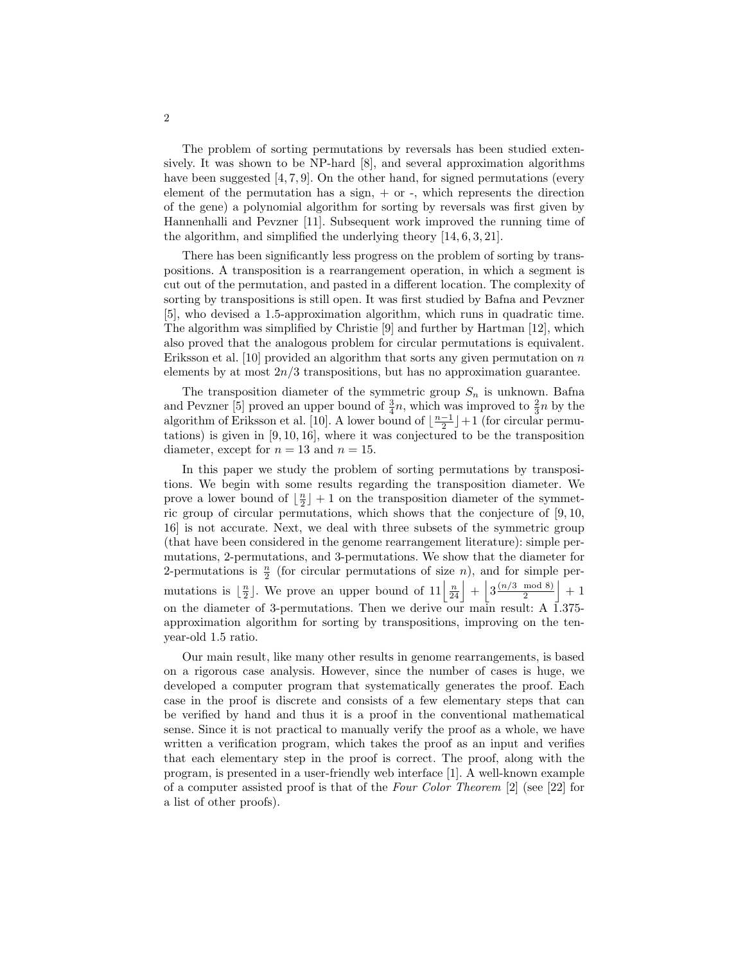The problem of sorting permutations by reversals has been studied extensively. It was shown to be NP-hard [8], and several approximation algorithms have been suggested [4, 7, 9]. On the other hand, for signed permutations (every element of the permutation has a sign,  $+$  or  $-$ , which represents the direction of the gene) a polynomial algorithm for sorting by reversals was first given by Hannenhalli and Pevzner [11]. Subsequent work improved the running time of the algorithm, and simplified the underlying theory [14, 6, 3, 21].

There has been significantly less progress on the problem of sorting by transpositions. A transposition is a rearrangement operation, in which a segment is cut out of the permutation, and pasted in a different location. The complexity of sorting by transpositions is still open. It was first studied by Bafna and Pevzner [5], who devised a 1.5-approximation algorithm, which runs in quadratic time. The algorithm was simplified by Christie [9] and further by Hartman [12], which also proved that the analogous problem for circular permutations is equivalent. Eriksson et al. [10] provided an algorithm that sorts any given permutation on  $n$ elements by at most  $2n/3$  transpositions, but has no approximation guarantee.

The transposition diameter of the symmetric group  $S_n$  is unknown. Bafna and Pevzner [5] proved an upper bound of  $\frac{3}{4}n$ , which was improved to  $\frac{2}{3}n$  by the algorithm of Eriksson et al. [10]. A lower bound of  $\lfloor \frac{n-1}{2} \rfloor + 1$  (for circular permutations) is given in  $[9, 10, 16]$ , where it was conjectured to be the transposition diameter, except for  $n = 13$  and  $n = 15$ .

In this paper we study the problem of sorting permutations by transpositions. We begin with some results regarding the transposition diameter. We prove a lower bound of  $\lfloor \frac{n}{2} \rfloor + 1$  on the transposition diameter of the symmetric group of circular permutations, which shows that the conjecture of [9, 10, 16] is not accurate. Next, we deal with three subsets of the symmetric group (that have been considered in the genome rearrangement literature): simple permutations, 2-permutations, and 3-permutations. We show that the diameter for 2-permutations is  $\frac{n}{2}$  (for circular permutations of size *n*), and for simple permutations is  $\lfloor \frac{n}{2} \rfloor$ . We prove an upper bound of  $11\lfloor \frac{n}{24} \rfloor + \lfloor 3\frac{(n/3 \mod 8)}{2} \rfloor$  $\frac{\mod 8}{2}$  + 1 on the diameter of 3-permutations. Then we derive our main result: A 1.375 approximation algorithm for sorting by transpositions, improving on the tenyear-old 1.5 ratio.

Our main result, like many other results in genome rearrangements, is based on a rigorous case analysis. However, since the number of cases is huge, we developed a computer program that systematically generates the proof. Each case in the proof is discrete and consists of a few elementary steps that can be verified by hand and thus it is a proof in the conventional mathematical sense. Since it is not practical to manually verify the proof as a whole, we have written a verification program, which takes the proof as an input and verifies that each elementary step in the proof is correct. The proof, along with the program, is presented in a user-friendly web interface [1]. A well-known example of a computer assisted proof is that of the Four Color Theorem [2] (see [22] for a list of other proofs).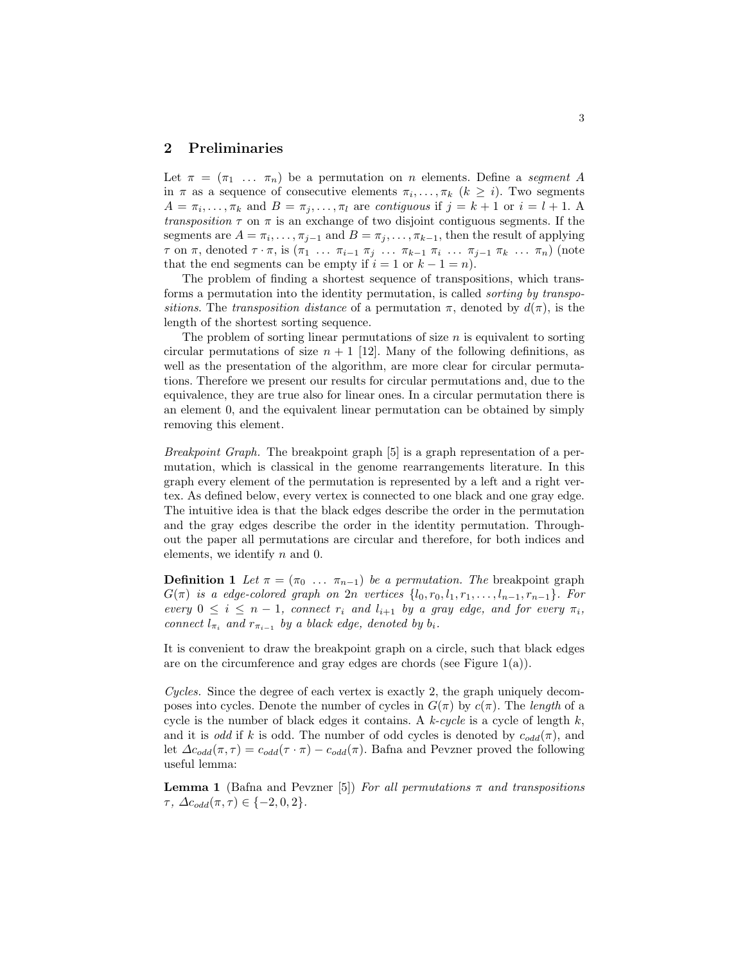## 2 Preliminaries

Let  $\pi = (\pi_1 \ldots \pi_n)$  be a permutation on n elements. Define a segment A in  $\pi$  as a sequence of consecutive elements  $\pi_i, \ldots, \pi_k$   $(k \geq i)$ . Two segments  $A = \pi_i, \ldots, \pi_k$  and  $B = \pi_j, \ldots, \pi_l$  are contiguous if  $j = k + 1$  or  $i = l + 1$ . transposition  $\tau$  on  $\pi$  is an exchange of two disjoint contiguous segments. If the segments are  $A = \pi_i, \ldots, \pi_{j-1}$  and  $B = \pi_j, \ldots, \pi_{k-1}$ , then the result of applying  $\tau$  on  $\pi$ , denoted  $\tau \cdot \pi$ , is  $(\pi_1 \ldots \pi_{i-1} \pi_j \ldots \pi_{k-1} \pi_i \ldots \pi_{j-1} \pi_k \ldots \pi_n)$  (note that the end segments can be empty if  $i = 1$  or  $k - 1 = n$ .

The problem of finding a shortest sequence of transpositions, which transforms a permutation into the identity permutation, is called sorting by transpositions. The transposition distance of a permutation  $\pi$ , denoted by  $d(\pi)$ , is the length of the shortest sorting sequence.

The problem of sorting linear permutations of size  $n$  is equivalent to sorting circular permutations of size  $n + 1$  [12]. Many of the following definitions, as well as the presentation of the algorithm, are more clear for circular permutations. Therefore we present our results for circular permutations and, due to the equivalence, they are true also for linear ones. In a circular permutation there is an element 0, and the equivalent linear permutation can be obtained by simply removing this element.

Breakpoint Graph. The breakpoint graph [5] is a graph representation of a permutation, which is classical in the genome rearrangements literature. In this graph every element of the permutation is represented by a left and a right vertex. As defined below, every vertex is connected to one black and one gray edge. The intuitive idea is that the black edges describe the order in the permutation and the gray edges describe the order in the identity permutation. Throughout the paper all permutations are circular and therefore, for both indices and elements, we identify  $n$  and  $0$ .

**Definition 1** Let  $\pi = (\pi_0 \dots \pi_{n-1})$  be a permutation. The breakpoint graph  $G(\pi)$  is a edge-colored graph on  $2n$  vertices  $\{l_0, r_0, l_1, r_1, \ldots, l_{n-1}, r_{n-1}\}$ . For every  $0 \le i \le n-1$ , connect  $r_i$  and  $l_{i+1}$  by a gray edge, and for every  $\pi_i$ , connect  $l_{\pi_i}$  and  $r_{\pi_{i-1}}$  by a black edge, denoted by  $b_i$ .

It is convenient to draw the breakpoint graph on a circle, such that black edges are on the circumference and gray edges are chords (see Figure  $1(a)$ ).

Cycles. Since the degree of each vertex is exactly 2, the graph uniquely decomposes into cycles. Denote the number of cycles in  $G(\pi)$  by  $c(\pi)$ . The length of a cycle is the number of black edges it contains. A  $k$ -cycle is a cycle of length  $k$ , and it is odd if k is odd. The number of odd cycles is denoted by  $c_{odd}(\pi)$ , and let  $\Delta c_{odd}(\pi, \tau) = c_{odd}(\tau \cdot \pi) - c_{odd}(\pi)$ . Bafna and Pevzner proved the following useful lemma:

**Lemma 1** (Bafna and Pevzner [5]) For all permutations  $\pi$  and transpositions  $\tau, \Delta c_{odd}(\pi, \tau) \in \{-2, 0, 2\}.$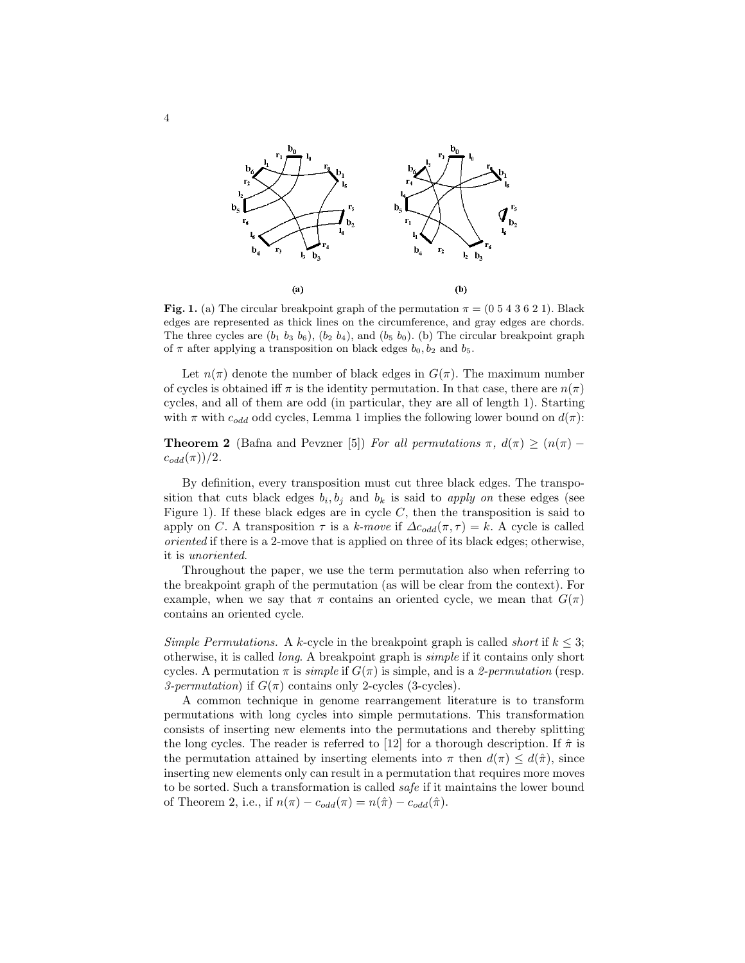

Fig. 1. (a) The circular breakpoint graph of the permutation  $\pi = (0.5 4 3 6 2 1)$ . Black edges are represented as thick lines on the circumference, and gray edges are chords. The three cycles are  $(b_1\; b_3\; b_6)$ ,  $(b_2\; b_4)$ , and  $(b_5\; b_0)$ . (b) The circular breakpoint graph of  $\pi$  after applying a transposition on black edges  $b_0$ ,  $b_2$  and  $b_5$ .

Let  $n(\pi)$  denote the number of black edges in  $G(\pi)$ . The maximum number of cycles is obtained iff  $\pi$  is the identity permutation. In that case, there are  $n(\pi)$ cycles, and all of them are odd (in particular, they are all of length 1). Starting with  $\pi$  with  $c_{odd}$  odd cycles, Lemma 1 implies the following lower bound on  $d(\pi)$ :

**Theorem 2** (Bafna and Pevzner [5]) For all permutations  $\pi$ ,  $d(\pi) \geq (n(\pi)$  $c_{odd}(\pi)/2$ .

By definition, every transposition must cut three black edges. The transposition that cuts black edges  $b_i, b_j$  and  $b_k$  is said to apply on these edges (see Figure 1). If these black edges are in cycle  $C$ , then the transposition is said to apply on C. A transposition  $\tau$  is a k-move if  $\Delta c_{odd}(\pi, \tau) = k$ . A cycle is called oriented if there is a 2-move that is applied on three of its black edges; otherwise, it is unoriented.

Throughout the paper, we use the term permutation also when referring to the breakpoint graph of the permutation (as will be clear from the context). For example, when we say that  $\pi$  contains an oriented cycle, we mean that  $G(\pi)$ contains an oriented cycle.

Simple Permutations. A k-cycle in the breakpoint graph is called *short* if  $k \leq 3$ ; otherwise, it is called long. A breakpoint graph is simple if it contains only short cycles. A permutation  $\pi$  is *simple* if  $G(\pi)$  is simple, and is a 2-permutation (resp. 3-permutation) if  $G(\pi)$  contains only 2-cycles (3-cycles).

A common technique in genome rearrangement literature is to transform permutations with long cycles into simple permutations. This transformation consists of inserting new elements into the permutations and thereby splitting the long cycles. The reader is referred to [12] for a thorough description. If  $\hat{\pi}$  is the permutation attained by inserting elements into  $\pi$  then  $d(\pi) \leq d(\hat{\pi})$ , since inserting new elements only can result in a permutation that requires more moves to be sorted. Such a transformation is called safe if it maintains the lower bound of Theorem 2, i.e., if  $n(\pi) - c_{odd}(\pi) = n(\hat{\pi}) - c_{odd}(\hat{\pi})$ .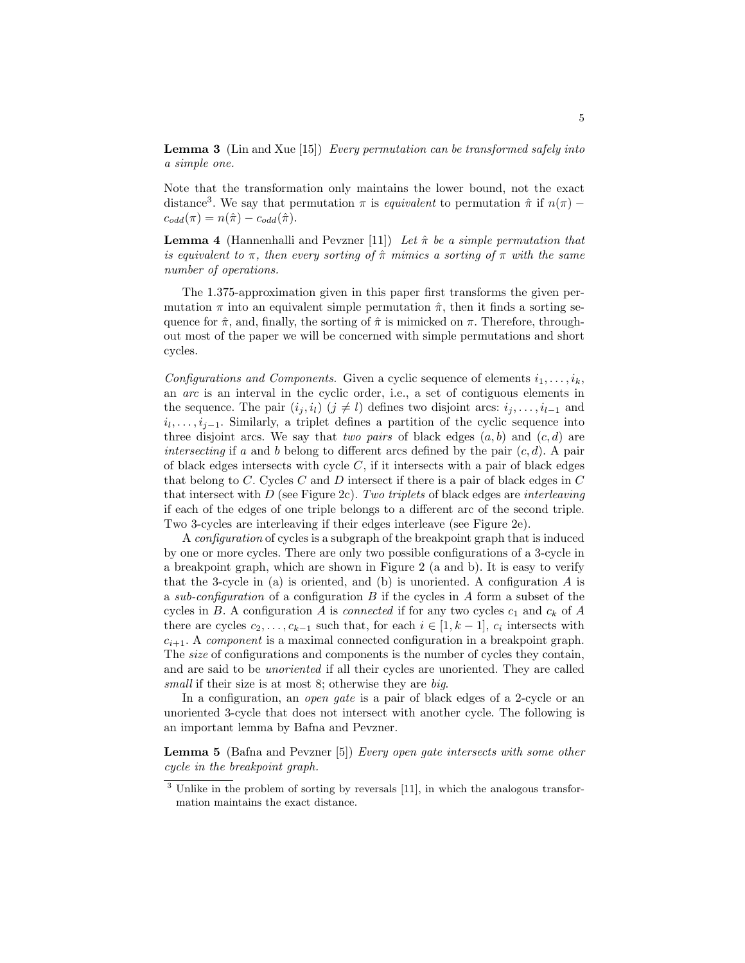**Lemma 3** (Lin and Xue [15]) Every permutation can be transformed safely into a simple one.

Note that the transformation only maintains the lower bound, not the exact distance<sup>3</sup>. We say that permutation  $\pi$  is *equivalent* to permutation  $\hat{\pi}$  if  $n(\pi)$  –  $c_{odd}(\pi) = n(\hat{\pi}) - c_{odd}(\hat{\pi}).$ 

**Lemma 4** (Hannenhalli and Pevzner [11]) Let  $\hat{\pi}$  be a simple permutation that is equivalent to  $\pi$ , then every sorting of  $\hat{\pi}$  mimics a sorting of  $\pi$  with the same number of operations.

The 1.375-approximation given in this paper first transforms the given permutation  $\pi$  into an equivalent simple permutation  $\hat{\pi}$ , then it finds a sorting sequence for  $\hat{\pi}$ , and, finally, the sorting of  $\hat{\pi}$  is mimicked on  $\pi$ . Therefore, throughout most of the paper we will be concerned with simple permutations and short cycles.

Configurations and Components. Given a cyclic sequence of elements  $i_1, \ldots, i_k$ , an arc is an interval in the cyclic order, i.e., a set of contiguous elements in the sequence. The pair  $(i_j, i_l)$   $(j \neq l)$  defines two disjoint arcs:  $i_j, \ldots, i_{l-1}$  and  $i_1, \ldots, i_{j-1}$ . Similarly, a triplet defines a partition of the cyclic sequence into three disjoint arcs. We say that two pairs of black edges  $(a, b)$  and  $(c, d)$  are intersecting if a and b belong to different arcs defined by the pair  $(c, d)$ . A pair of black edges intersects with cycle  $C$ , if it intersects with a pair of black edges that belong to  $C$ . Cycles  $C$  and  $D$  intersect if there is a pair of black edges in  $C$ that intersect with  $D$  (see Figure 2c). Two triplets of black edges are interleaving if each of the edges of one triple belongs to a different arc of the second triple. Two 3-cycles are interleaving if their edges interleave (see Figure 2e).

A configuration of cycles is a subgraph of the breakpoint graph that is induced by one or more cycles. There are only two possible configurations of a 3-cycle in a breakpoint graph, which are shown in Figure 2 (a and b). It is easy to verify that the 3-cycle in  $(a)$  is oriented, and  $(b)$  is unoriented. A configuration  $A$  is a sub-configuration of a configuration B if the cycles in A form a subset of the cycles in B. A configuration A is *connected* if for any two cycles  $c_1$  and  $c_k$  of A there are cycles  $c_2, \ldots, c_{k-1}$  such that, for each  $i \in [1, k-1]$ ,  $c_i$  intersects with  $c_{i+1}$ . A *component* is a maximal connected configuration in a breakpoint graph. The size of configurations and components is the number of cycles they contain, and are said to be unoriented if all their cycles are unoriented. They are called small if their size is at most 8; otherwise they are big.

In a configuration, an *open qate* is a pair of black edges of a 2-cycle or an unoriented 3-cycle that does not intersect with another cycle. The following is an important lemma by Bafna and Pevzner.

Lemma 5 (Bafna and Pevzner [5]) Every open gate intersects with some other cycle in the breakpoint graph.

<sup>&</sup>lt;sup>3</sup> Unlike in the problem of sorting by reversals [11], in which the analogous transformation maintains the exact distance.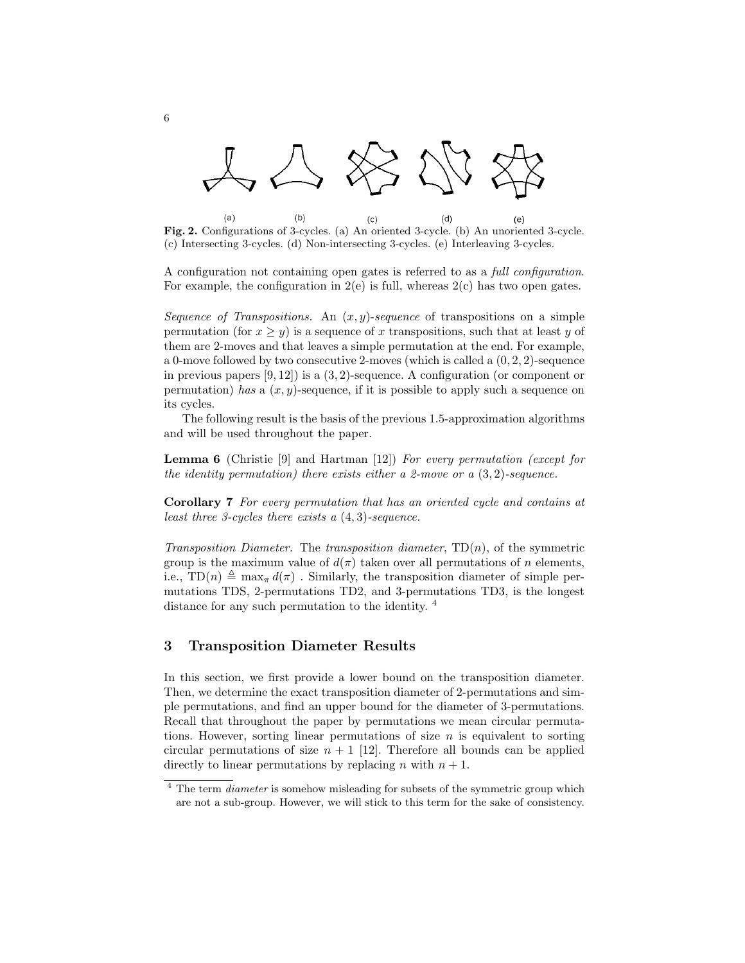

 $(a)$  $(b)$  $(d)$ Fig. 2. Configurations of 3-cycles. (a) An oriented 3-cycle. (b) An unoriented 3-cycle.  $(e)$ (c) Intersecting 3-cycles. (d) Non-intersecting 3-cycles. (e) Interleaving 3-cycles.

A configuration not containing open gates is referred to as a full configuration. For example, the configuration in  $2(e)$  is full, whereas  $2(e)$  has two open gates.

Sequence of Transpositions. An  $(x, y)$ -sequence of transpositions on a simple permutation (for  $x \geq y$ ) is a sequence of x transpositions, such that at least y of them are 2-moves and that leaves a simple permutation at the end. For example, a 0-move followed by two consecutive 2-moves (which is called a  $(0, 2, 2)$ -sequence in previous papers [9, 12]) is a (3, 2)-sequence. A configuration (or component or permutation) has a  $(x, y)$ -sequence, if it is possible to apply such a sequence on its cycles.

The following result is the basis of the previous 1.5-approximation algorithms and will be used throughout the paper.

Lemma 6 (Christie [9] and Hartman [12]) For every permutation (except for the identity permutation) there exists either a 2-move or a  $(3, 2)$ -sequence.

Corollary 7 For every permutation that has an oriented cycle and contains at least three 3-cycles there exists a  $(4,3)$ -sequence.

Transposition Diameter. The transposition diameter,  $TD(n)$ , of the symmetric group is the maximum value of  $d(\pi)$  taken over all permutations of n elements, i.e.,  $TD(n) \triangleq \max_{\pi} d(\pi)$ . Similarly, the transposition diameter of simple permutations TDS, 2-permutations TD2, and 3-permutations TD3, is the longest distance for any such permutation to the identity.  $4$ 

## 3 Transposition Diameter Results

In this section, we first provide a lower bound on the transposition diameter. Then, we determine the exact transposition diameter of 2-permutations and simple permutations, and find an upper bound for the diameter of 3-permutations. Recall that throughout the paper by permutations we mean circular permutations. However, sorting linear permutations of size  $n$  is equivalent to sorting circular permutations of size  $n + 1$  [12]. Therefore all bounds can be applied directly to linear permutations by replacing n with  $n + 1$ .

<sup>&</sup>lt;sup>4</sup> The term *diameter* is somehow misleading for subsets of the symmetric group which are not a sub-group. However, we will stick to this term for the sake of consistency.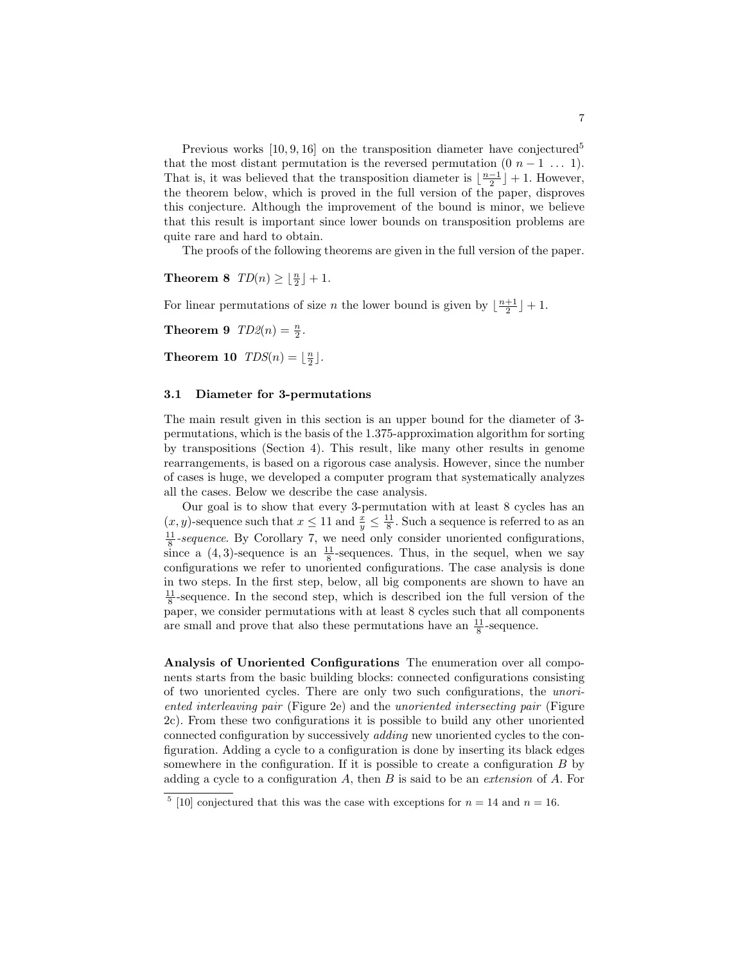Previous works  $[10, 9, 16]$  on the transposition diameter have conjectured<sup>5</sup> that the most distant permutation is the reversed permutation  $(0\ n-1\ \ldots\ 1)$ . That is, it was believed that the transposition diameter is  $\lfloor \frac{n-1}{2} \rfloor + 1$ . However, the theorem below, which is proved in the full version of the paper, disproves this conjecture. Although the improvement of the bound is minor, we believe that this result is important since lower bounds on transposition problems are quite rare and hard to obtain.

The proofs of the following theorems are given in the full version of the paper.

**Theorem 8**  $TD(n) \geq \lfloor \frac{n}{2} \rfloor + 1$ .

For linear permutations of size *n* the lower bound is given by  $\lfloor \frac{n+1}{2} \rfloor + 1$ .

**Theorem 9**  $TD2(n) = \frac{n}{2}$ .

**Theorem 10**  $TDS(n) = \lfloor \frac{n}{2} \rfloor$ .

#### 3.1 Diameter for 3-permutations

The main result given in this section is an upper bound for the diameter of 3 permutations, which is the basis of the 1.375-approximation algorithm for sorting by transpositions (Section 4). This result, like many other results in genome rearrangements, is based on a rigorous case analysis. However, since the number of cases is huge, we developed a computer program that systematically analyzes all the cases. Below we describe the case analysis.

Our goal is to show that every 3-permutation with at least 8 cycles has an  $(x, y)$ -sequence such that  $x \leq 11$  and  $\frac{x}{y} \leq \frac{11}{8}$ . Such a sequence is referred to as an  $\frac{11}{8}$ -sequence. By Corollary 7, we need only consider unoriented configurations, since a  $(4,3)$ -sequence is an  $\frac{11}{8}$ -sequences. Thus, in the sequel, when we say configurations we refer to unoriented configurations. The case analysis is done in two steps. In the first step, below, all big components are shown to have an  $\frac{11}{8}$ -sequence. In the second step, which is described ion the full version of the paper, we consider permutations with at least 8 cycles such that all components are small and prove that also these permutations have an  $\frac{11}{8}$ -sequence.

Analysis of Unoriented Configurations The enumeration over all components starts from the basic building blocks: connected configurations consisting of two unoriented cycles. There are only two such configurations, the unoriented interleaving pair (Figure 2e) and the unoriented intersecting pair (Figure 2c). From these two configurations it is possible to build any other unoriented connected configuration by successively adding new unoriented cycles to the configuration. Adding a cycle to a configuration is done by inserting its black edges somewhere in the configuration. If it is possible to create a configuration  $B$  by adding a cycle to a configuration  $A$ , then  $B$  is said to be an *extension* of  $A$ . For

<sup>&</sup>lt;sup>5</sup> [10] conjectured that this was the case with exceptions for  $n = 14$  and  $n = 16$ .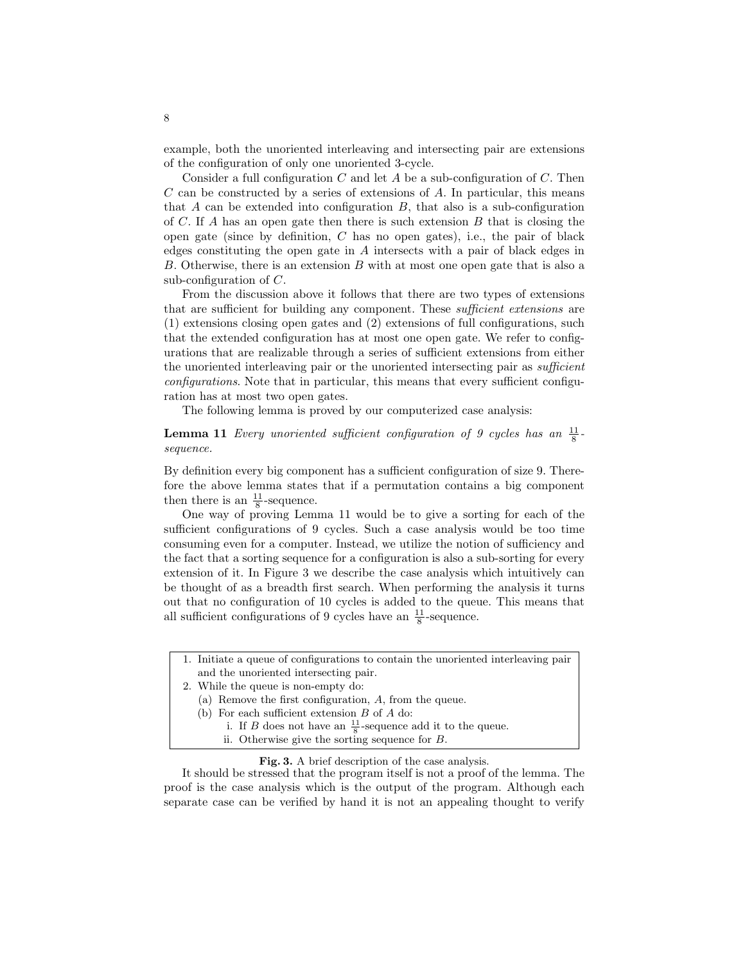example, both the unoriented interleaving and intersecting pair are extensions of the configuration of only one unoriented 3-cycle.

Consider a full configuration C and let A be a sub-configuration of C. Then  $C$  can be constructed by a series of extensions of  $A$ . In particular, this means that  $A$  can be extended into configuration  $B$ , that also is a sub-configuration of C. If A has an open gate then there is such extension  $B$  that is closing the open gate (since by definition,  $C$  has no open gates), i.e., the pair of black edges constituting the open gate in A intersects with a pair of black edges in B. Otherwise, there is an extension B with at most one open gate that is also a sub-configuration of C.

From the discussion above it follows that there are two types of extensions that are sufficient for building any component. These sufficient extensions are (1) extensions closing open gates and (2) extensions of full configurations, such that the extended configuration has at most one open gate. We refer to configurations that are realizable through a series of sufficient extensions from either the unoriented interleaving pair or the unoriented intersecting pair as *sufficient* configurations. Note that in particular, this means that every sufficient configuration has at most two open gates.

The following lemma is proved by our computerized case analysis:

**Lemma 11** Every unoriented sufficient configuration of 9 cycles has an  $\frac{11}{8}$ sequence.

By definition every big component has a sufficient configuration of size 9. Therefore the above lemma states that if a permutation contains a big component then there is an  $\frac{11}{8}$ -sequence.

One way of proving Lemma 11 would be to give a sorting for each of the sufficient configurations of 9 cycles. Such a case analysis would be too time consuming even for a computer. Instead, we utilize the notion of sufficiency and the fact that a sorting sequence for a configuration is also a sub-sorting for every extension of it. In Figure 3 we describe the case analysis which intuitively can be thought of as a breadth first search. When performing the analysis it turns out that no configuration of 10 cycles is added to the queue. This means that all sufficient configurations of 9 cycles have an  $\frac{11}{8}$ -sequence.

- 1. Initiate a queue of configurations to contain the unoriented interleaving pair and the unoriented intersecting pair.
- 2. While the queue is non-empty do:
	- (a) Remove the first configuration, A, from the queue.
	- (b) For each sufficient extension  $B$  of  $A$  do:
		- i. If B does not have an  $\frac{11}{8}$ -sequence add it to the queue.
		- ii. Otherwise give the sorting sequence for B.

#### Fig. 3. A brief description of the case analysis.

It should be stressed that the program itself is not a proof of the lemma. The proof is the case analysis which is the output of the program. Although each separate case can be verified by hand it is not an appealing thought to verify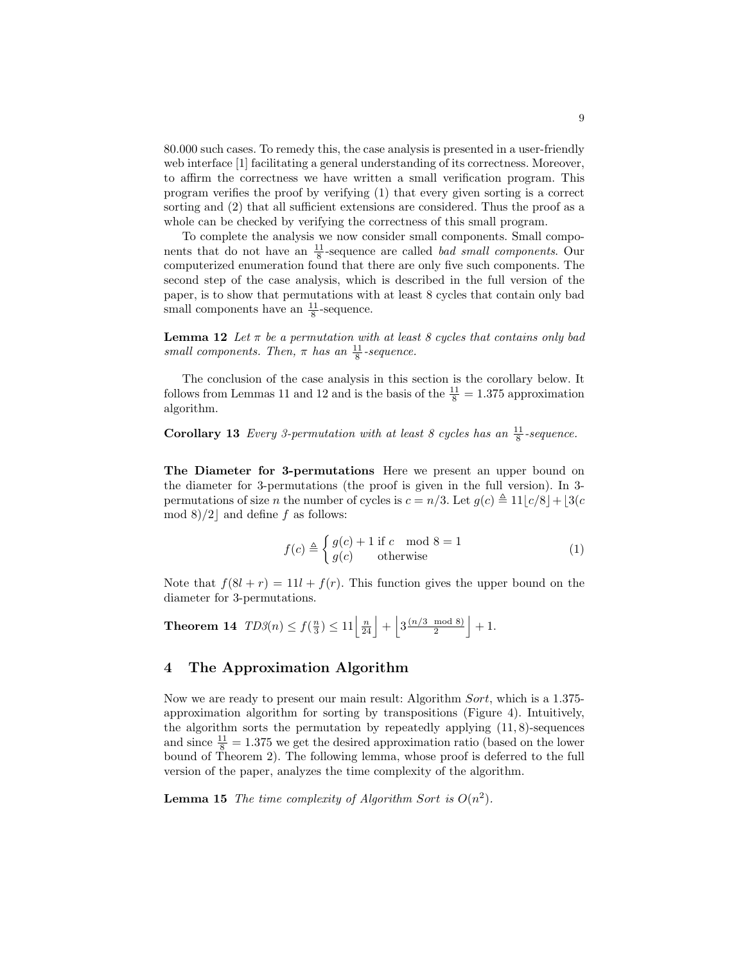80.000 such cases. To remedy this, the case analysis is presented in a user-friendly web interface [1] facilitating a general understanding of its correctness. Moreover, to affirm the correctness we have written a small verification program. This program verifies the proof by verifying (1) that every given sorting is a correct sorting and (2) that all sufficient extensions are considered. Thus the proof as a whole can be checked by verifying the correctness of this small program.

To complete the analysis we now consider small components. Small components that do not have an  $\frac{11}{8}$ -sequence are called *bad small components*. Our computerized enumeration found that there are only five such components. The second step of the case analysis, which is described in the full version of the paper, is to show that permutations with at least 8 cycles that contain only bad small components have an  $\frac{11}{8}$ -sequence.

**Lemma 12** Let  $\pi$  be a permutation with at least 8 cycles that contains only bad small components. Then,  $\pi$  has an  $\frac{11}{8}$ -sequence.

The conclusion of the case analysis in this section is the corollary below. It follows from Lemmas 11 and 12 and is the basis of the  $\frac{11}{8} = 1.375$  approximation algorithm.

**Corollary 13** Every 3-permutation with at least 8 cycles has an  $\frac{11}{8}$ -sequence.

The Diameter for 3-permutations Here we present an upper bound on the diameter for 3-permutations (the proof is given in the full version). In 3 permutations of size *n* the number of cycles is  $c = n/3$ . Let  $g(c) \triangleq 11|c/8| + |3(c+4)|c$ mod 8)/2 and define f as follows:

$$
f(c) \triangleq \begin{cases} g(c) + 1 \text{ if } c \mod 8 = 1\\ g(c) \qquad \text{otherwise} \end{cases}
$$
 (1)

Note that  $f(8l + r) = 11l + f(r)$ . This function gives the upper bound on the diameter for 3-permutations.

Theorem 14  $\text{TD3}(n) \leq f(\frac{n}{3}) \leq 11 \left\lfloor \frac{n}{24} \right\rfloor + \left\lfloor 3 \frac{(n/3 \mod 8)}{2} \right\rfloor$  $\frac{\mod 8}{2}$  + 1.

# 4 The Approximation Algorithm

Now we are ready to present our main result: Algorithm Sort, which is a 1.375 approximation algorithm for sorting by transpositions (Figure 4). Intuitively, the algorithm sorts the permutation by repeatedly applying  $(11, 8)$ -sequences and since  $\frac{11}{8} = 1.375$  we get the desired approximation ratio (based on the lower bound of Theorem 2). The following lemma, whose proof is deferred to the full version of the paper, analyzes the time complexity of the algorithm.

**Lemma 15** The time complexity of Algorithm Sort is  $O(n^2)$ .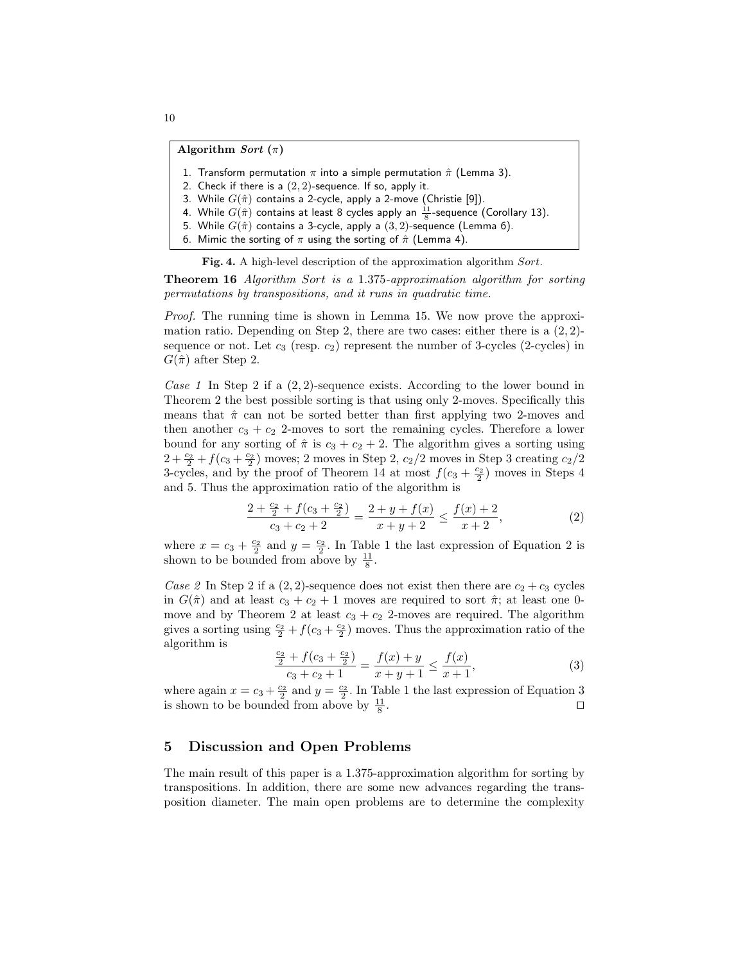#### Algorithm Sort  $(\pi)$

- 1. Transform permutation  $\pi$  into a simple permutation  $\hat{\pi}$  (Lemma 3).
- 2. Check if there is a  $(2, 2)$ -sequence. If so, apply it.
- 3. While  $G(\hat{\pi})$  contains a 2-cycle, apply a 2-move (Christie [9]).
- 4. While  $G(\hat{\pi})$  contains at least 8 cycles apply an  $\frac{11}{8}$ -sequence (Corollary 13).
- 5. While  $G(\hat{\pi})$  contains a 3-cycle, apply a  $(3, 2)$ -sequence (Lemma 6).
- 6. Mimic the sorting of  $\pi$  using the sorting of  $\hat{\pi}$  (Lemma 4).

Fig. 4. A high-level description of the approximation algorithm Sort.

Theorem 16 Algorithm Sort is a 1.375-approximation algorithm for sorting permutations by transpositions, and it runs in quadratic time.

Proof. The running time is shown in Lemma 15. We now prove the approximation ratio. Depending on Step 2, there are two cases: either there is a  $(2, 2)$ sequence or not. Let  $c_3$  (resp.  $c_2$ ) represent the number of 3-cycles (2-cycles) in  $G(\hat{\pi})$  after Step 2.

Case 1 In Step 2 if a  $(2, 2)$ -sequence exists. According to the lower bound in Theorem 2 the best possible sorting is that using only 2-moves. Specifically this means that  $\hat{\pi}$  can not be sorted better than first applying two 2-moves and then another  $c_3 + c_2$  2-moves to sort the remaining cycles. Therefore a lower bound for any sorting of  $\hat{\pi}$  is  $c_3 + c_2 + 2$ . The algorithm gives a sorting using  $2 + \frac{c_2}{2} + f(c_3 + \frac{c_2}{2})$  moves; 2 moves in Step 2,  $c_2/2$  moves in Step 3 creating  $c_2/2$ 3-cycles, and by the proof of Theorem 14 at most  $f(c_3 + \frac{c_2}{2})$  moves in Steps 4 and 5. Thus the approximation ratio of the algorithm is

$$
\frac{2+\frac{c_2}{2}+f(c_3+\frac{c_2}{2})}{c_3+c_2+2} = \frac{2+y+f(x)}{x+y+2} \le \frac{f(x)+2}{x+2},
$$
\n(2)

where  $x = c_3 + \frac{c_2}{2}$  and  $y = \frac{c_2}{2}$ . In Table 1 the last expression of Equation 2 is shown to be bounded from above by  $\frac{11}{8}$ .

Case 2 In Step 2 if a  $(2, 2)$ -sequence does not exist then there are  $c_2 + c_3$  cycles in  $G(\hat{\pi})$  and at least  $c_3 + c_2 + 1$  moves are required to sort  $\hat{\pi}$ ; at least one 0move and by Theorem 2 at least  $c_3 + c_2$  2-moves are required. The algorithm gives a sorting using  $\frac{c_2}{2} + f(c_3 + \frac{c_2}{2})$  moves. Thus the approximation ratio of the algorithm is

$$
\frac{\frac{c_2}{2} + f(c_3 + \frac{c_2}{2})}{c_3 + c_2 + 1} = \frac{f(x) + y}{x + y + 1} \le \frac{f(x)}{x + 1},\tag{3}
$$

where again  $x = c_3 + \frac{c_2}{2}$  and  $y = \frac{c_2}{2}$ . In Table 1 the last expression of Equation 3 is shown to be bounded from above by  $\frac{11}{8}$ . **In the contract of the contract of the contract of the contract of the contract of the contract of the contract of the contract of the contract of the contract of the contract of the contract of the contract of the cont** 

#### 5 Discussion and Open Problems

The main result of this paper is a 1.375-approximation algorithm for sorting by transpositions. In addition, there are some new advances regarding the transposition diameter. The main open problems are to determine the complexity

10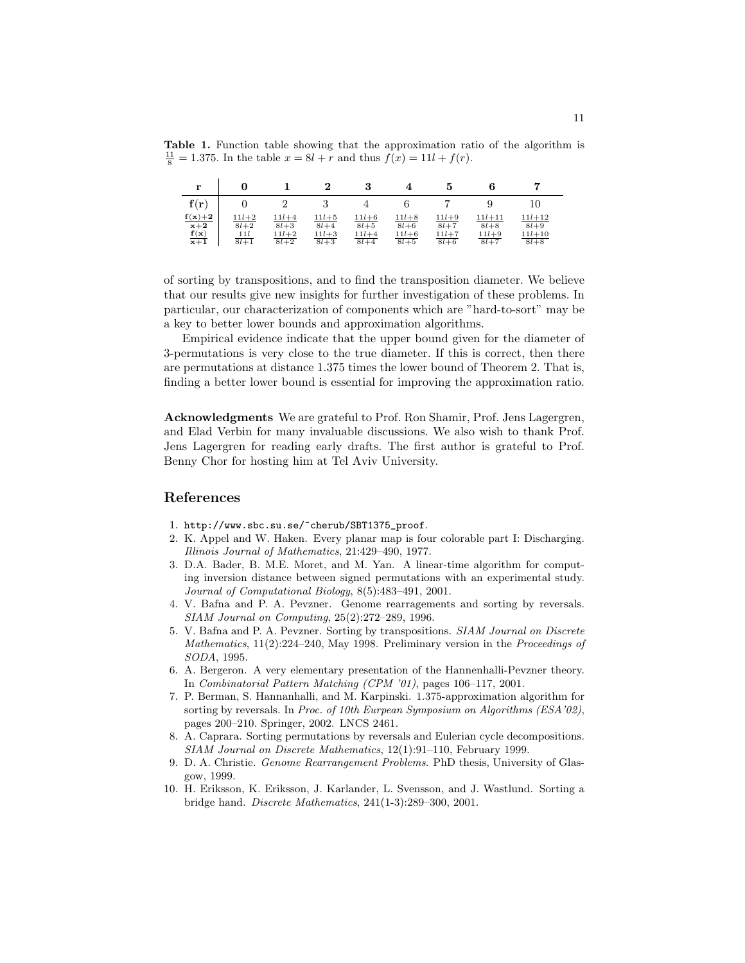Table 1. Function table showing that the approximation ratio of the algorithm is  $\frac{11}{8}$  = 1.375. In the table  $x = 8l + r$  and thus  $f(x) = 11l + f(r)$ .

| r                                  |                                    |                                        | ച                                          | 3                                              |                                                |                                              |                                               |                                                |
|------------------------------------|------------------------------------|----------------------------------------|--------------------------------------------|------------------------------------------------|------------------------------------------------|----------------------------------------------|-----------------------------------------------|------------------------------------------------|
| f(r)                               |                                    |                                        |                                            |                                                |                                                |                                              |                                               | 10                                             |
| $f(x)+2$<br>$x+2$<br>f(x)<br>$x+1$ | $11l+2$<br>$8l+2$<br>111<br>$8l+1$ | $11l+4$<br>$8l+3$<br>$11l+2$<br>$8l+2$ | $11l + 5$<br>$8l + 4$<br>$11l+3$<br>$8l+3$ | $11l + 6$<br>$8l + 5$<br>$11l + 4$<br>$8l + 4$ | $11l + 8$<br>$8l + 6$<br>$11l + 6$<br>$8l + 5$ | $11l+9$<br>$8l + 7$<br>$11l + 7$<br>$8l + 6$ | $11l + 11$<br>$8l + 8$<br>$11l+9$<br>$8l + 7$ | $11l + 12$<br>$8l+9$<br>$11l + 10$<br>$8l + 8$ |

of sorting by transpositions, and to find the transposition diameter. We believe that our results give new insights for further investigation of these problems. In particular, our characterization of components which are "hard-to-sort" may be a key to better lower bounds and approximation algorithms.

Empirical evidence indicate that the upper bound given for the diameter of 3-permutations is very close to the true diameter. If this is correct, then there are permutations at distance 1.375 times the lower bound of Theorem 2. That is, finding a better lower bound is essential for improving the approximation ratio.

Acknowledgments We are grateful to Prof. Ron Shamir, Prof. Jens Lagergren, and Elad Verbin for many invaluable discussions. We also wish to thank Prof. Jens Lagergren for reading early drafts. The first author is grateful to Prof. Benny Chor for hosting him at Tel Aviv University.

## References

- 1. http://www.sbc.su.se/~cherub/SBT1375\_proof.
- 2. K. Appel and W. Haken. Every planar map is four colorable part I: Discharging. Illinois Journal of Mathematics, 21:429–490, 1977.
- 3. D.A. Bader, B. M.E. Moret, and M. Yan. A linear-time algorithm for computing inversion distance between signed permutations with an experimental study. Journal of Computational Biology, 8(5):483–491, 2001.
- 4. V. Bafna and P. A. Pevzner. Genome rearragements and sorting by reversals. SIAM Journal on Computing, 25(2):272–289, 1996.
- 5. V. Bafna and P. A. Pevzner. Sorting by transpositions. SIAM Journal on Discrete Mathematics, 11(2):224–240, May 1998. Preliminary version in the Proceedings of SODA, 1995.
- 6. A. Bergeron. A very elementary presentation of the Hannenhalli-Pevzner theory. In Combinatorial Pattern Matching (CPM '01), pages 106–117, 2001.
- 7. P. Berman, S. Hannanhalli, and M. Karpinski. 1.375-approximation algorithm for sorting by reversals. In Proc. of 10th Eurpean Symposium on Algorithms (ESA'02), pages 200–210. Springer, 2002. LNCS 2461.
- 8. A. Caprara. Sorting permutations by reversals and Eulerian cycle decompositions. SIAM Journal on Discrete Mathematics, 12(1):91–110, February 1999.
- 9. D. A. Christie. Genome Rearrangement Problems. PhD thesis, University of Glasgow, 1999.
- 10. H. Eriksson, K. Eriksson, J. Karlander, L. Svensson, and J. Wastlund. Sorting a bridge hand. Discrete Mathematics, 241(1-3):289–300, 2001.